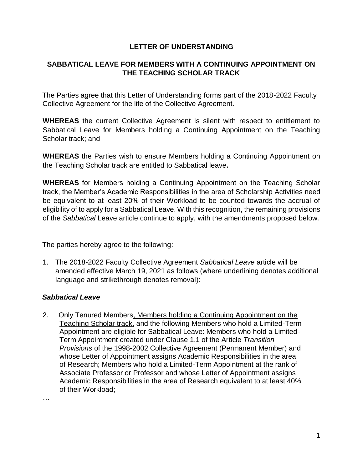## **LETTER OF UNDERSTANDING**

## **SABBATICAL LEAVE FOR MEMBERS WITH A CONTINUING APPOINTMENT ON THE TEACHING SCHOLAR TRACK**

The Parties agree that this Letter of Understanding forms part of the 2018-2022 Faculty Collective Agreement for the life of the Collective Agreement.

**WHEREAS** the current Collective Agreement is silent with respect to entitlement to Sabbatical Leave for Members holding a Continuing Appointment on the Teaching Scholar track; and

**WHEREAS** the Parties wish to ensure Members holding a Continuing Appointment on the Teaching Scholar track are entitled to Sabbatical leave**.**

**WHEREAS** for Members holding a Continuing Appointment on the Teaching Scholar track, the Member's Academic Responsibilities in the area of Scholarship Activities need be equivalent to at least 20% of their Workload to be counted towards the accrual of eligibility of to apply for a Sabbatical Leave. With this recognition, the remaining provisions of the *Sabbatical* Leave article continue to apply, with the amendments proposed below.

The parties hereby agree to the following:

1. The 2018-2022 Faculty Collective Agreement *Sabbatical Leave* article will be amended effective March 19, 2021 as follows (where underlining denotes additional language and strikethrough denotes removal):

## *Sabbatical Leave*

2. Only Tenured Members, Members holding a Continuing Appointment on the Teaching Scholar track, and the following Members who hold a Limited-Term Appointment are eligible for Sabbatical Leave: Members who hold a Limited-Term Appointment created under Clause 1.1 of the Article *Transition Provisions* of the 1998-2002 Collective Agreement (Permanent Member) and whose Letter of Appointment assigns Academic Responsibilities in the area of Research; Members who hold a Limited-Term Appointment at the rank of Associate Professor or Professor and whose Letter of Appointment assigns Academic Responsibilities in the area of Research equivalent to at least 40% of their Workload;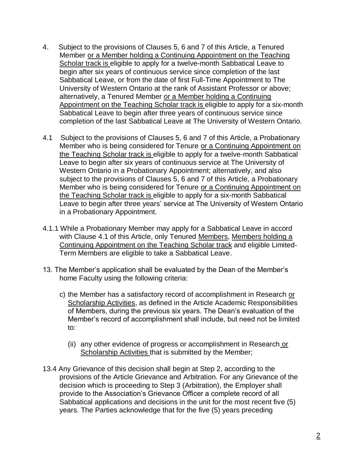- 4. Subject to the provisions of Clauses 5, 6 and 7 of this Article, a Tenured Member or a Member holding a Continuing Appointment on the Teaching Scholar track is eligible to apply for a twelve-month Sabbatical Leave to begin after six years of continuous service since completion of the last Sabbatical Leave, or from the date of first Full-Time Appointment to The University of Western Ontario at the rank of Assistant Professor or above; alternatively, a Tenured Member or a Member holding a Continuing Appointment on the Teaching Scholar track is eligible to apply for a six-month Sabbatical Leave to begin after three years of continuous service since completion of the last Sabbatical Leave at The University of Western Ontario.
- 4.1 Subject to the provisions of Clauses 5, 6 and 7 of this Article, a Probationary Member who is being considered for Tenure or a Continuing Appointment on the Teaching Scholar track is eligible to apply for a twelve-month Sabbatical Leave to begin after six years of continuous service at The University of Western Ontario in a Probationary Appointment; alternatively, and also subject to the provisions of Clauses 5, 6 and 7 of this Article, a Probationary Member who is being considered for Tenure or a Continuing Appointment on the Teaching Scholar track is eligible to apply for a six-month Sabbatical Leave to begin after three years' service at The University of Western Ontario in a Probationary Appointment.
- 4.1.1 While a Probationary Member may apply for a Sabbatical Leave in accord with Clause 4.1 of this Article, only Tenured Members, Members holding a Continuing Appointment on the Teaching Scholar track and eligible Limited-Term Members are eligible to take a Sabbatical Leave.
- 13. The Member's application shall be evaluated by the Dean of the Member's home Faculty using the following criteria:
	- c) the Member has a satisfactory record of accomplishment in Research or Scholarship Activities, as defined in the Article Academic Responsibilities of Members, during the previous six years. The Dean's evaluation of the Member's record of accomplishment shall include, but need not be limited to:
		- (ii) any other evidence of progress or accomplishment in Research or Scholarship Activities that is submitted by the Member;
- 13.4 Any Grievance of this decision shall begin at Step 2, according to the provisions of the Article Grievance and Arbitration. For any Grievance of the decision which is proceeding to Step 3 (Arbitration), the Employer shall provide to the Association's Grievance Officer a complete record of all Sabbatical applications and decisions in the unit for the most recent five (5) years. The Parties acknowledge that for the five (5) years preceding